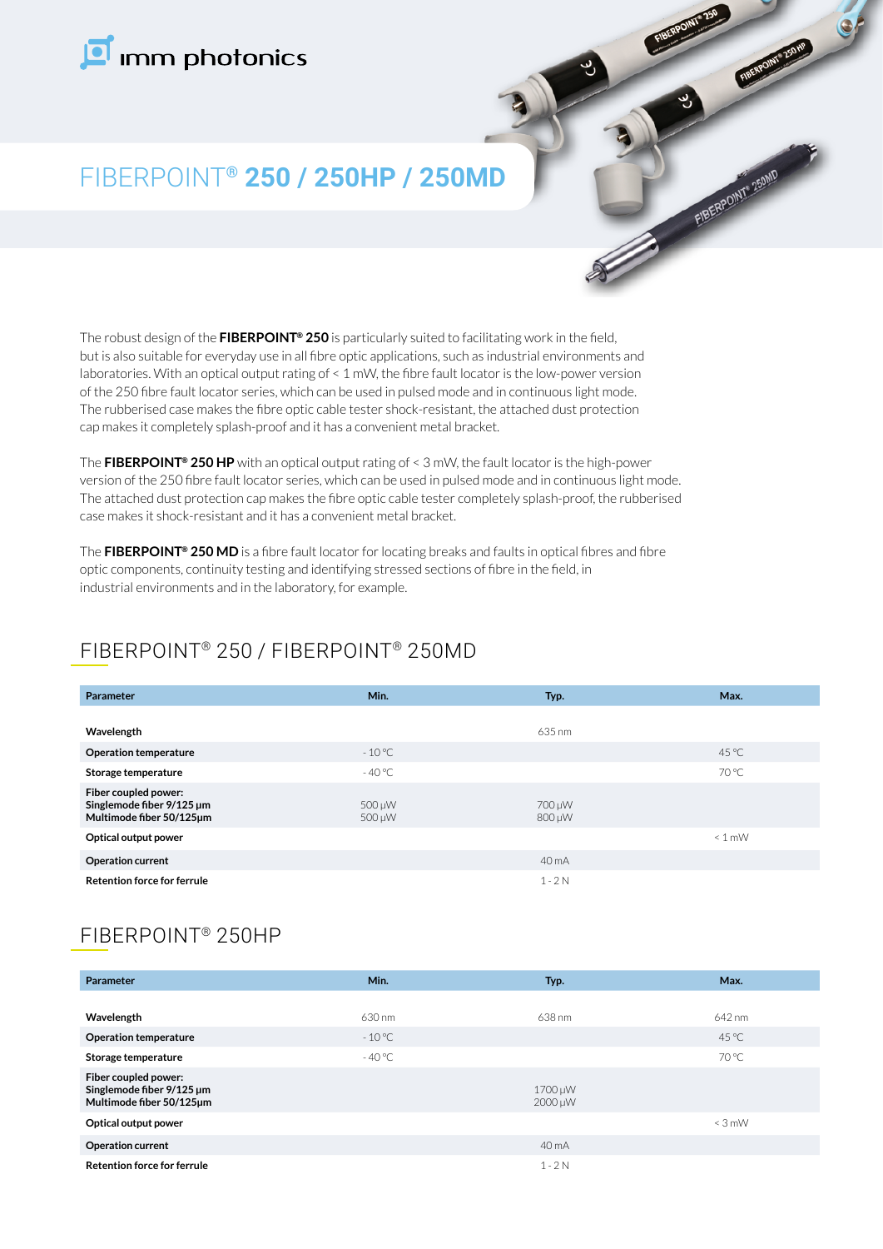# Imm photonics



## FIBERPOINT**® 250 / 250HP / 250MD**

The robust design of the **FIBERPOINT® 250** is particularly suited to facilitating work in the field, but is also suitable for everyday use in all fibre optic applications, such as industrial environments and laboratories. With an optical output rating of < 1 mW, the fibre fault locator is the low-power version of the 250 fibre fault locator series, which can be used in pulsed mode and in continuous light mode. The rubberised case makes the fibre optic cable tester shock-resistant, the attached dust protection cap makes it completely splash-proof and it has a convenient metal bracket.

The **FIBERPOINT® 250 HP** with an optical output rating of < 3 mW, the fault locator is the high-power version of the 250 fibre fault locator series, which can be used in pulsed mode and in continuous light mode. The attached dust protection cap makes the fibre optic cable tester completely splash-proof, the rubberised case makes it shock-resistant and it has a convenient metal bracket.

The **FIBERPOINT® 250 MD** is a fibre fault locator for locating breaks and faults in optical fibres and fibre optic components, continuity testing and identifying stressed sections of fibre in the field, in industrial environments and in the laboratory, for example.

## FIBERPOINT® 250 / FIBERPOINT® 250MD

| Parameter                                                                     | Min.             | Typ.             | Max.           |
|-------------------------------------------------------------------------------|------------------|------------------|----------------|
|                                                                               |                  |                  |                |
| Wavelength                                                                    |                  | 635 nm           |                |
| <b>Operation temperature</b>                                                  | $-10^{\circ}$ C  |                  | $45^{\circ}$ C |
| Storage temperature                                                           | $-40^{\circ}$ C  |                  | 70 °C          |
| Fiber coupled power:<br>Singlemode fiber 9/125 µm<br>Multimode fiber 50/125um | 500 µW<br>500 µW | 700 µW<br>800 µW |                |
| Optical output power                                                          |                  |                  | $\leq 1$ mW    |
| Operation current                                                             |                  | 40 mA            |                |
| <b>Retention force for ferrule</b>                                            |                  | $1 - 2N$         |                |

## FIBERPOINT® 250HP

| <b>Parameter</b>                                                              | Min.            | Typ.               | Max.           |
|-------------------------------------------------------------------------------|-----------------|--------------------|----------------|
|                                                                               |                 |                    |                |
| Wavelength                                                                    | 630 nm          | 638 nm             | 642 nm         |
| <b>Operation temperature</b>                                                  | $-10^{\circ}$ C |                    | $45^{\circ}$ C |
| Storage temperature                                                           | $-40^{\circ}$ C |                    | 70 °C          |
| Fiber coupled power:<br>Singlemode fiber 9/125 µm<br>Multimode fiber 50/125um |                 | 1700 µW<br>2000 µW |                |
| Optical output power                                                          |                 |                    | $\leq$ 3 mW    |
| <b>Operation current</b>                                                      |                 | 40 mA              |                |
| <b>Retention force for ferrule</b>                                            |                 | $1 - 2N$           |                |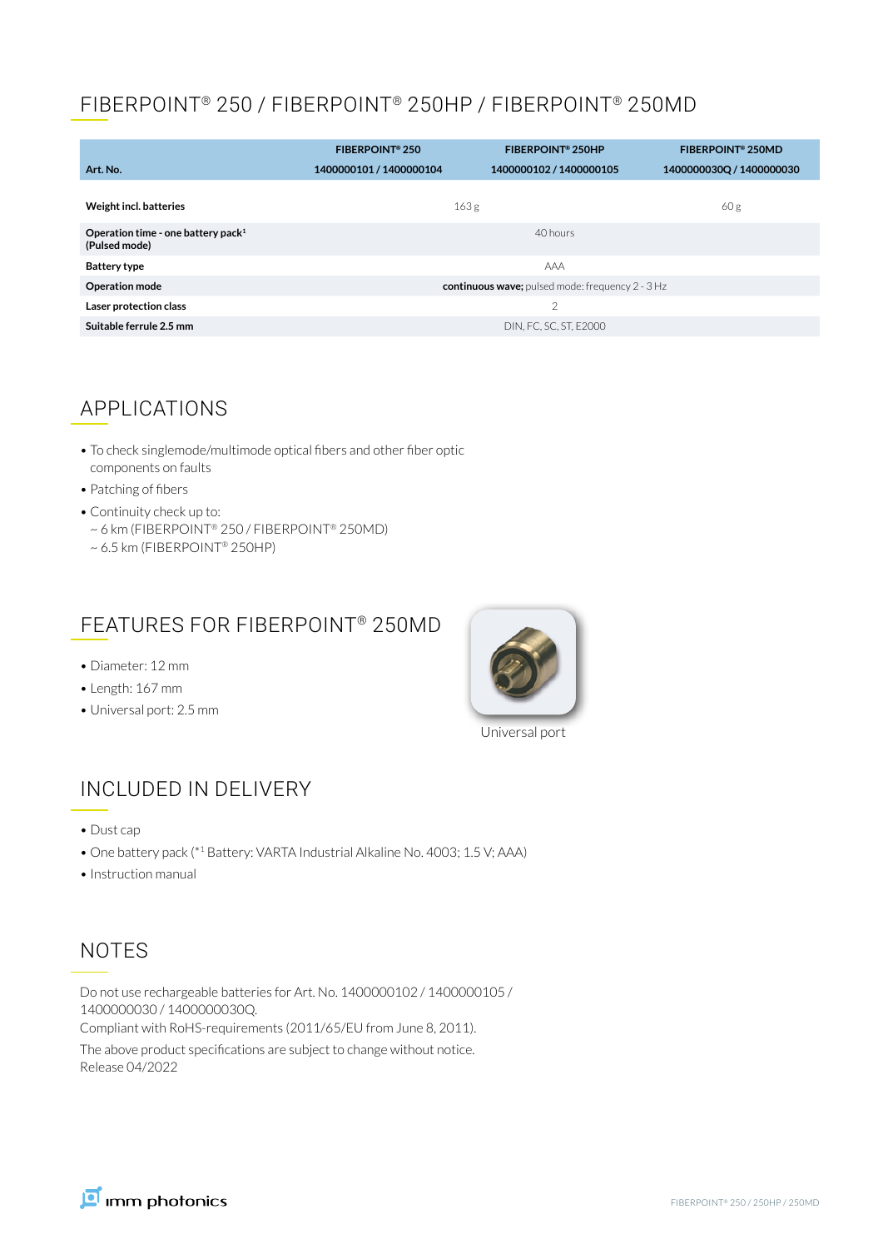#### FIBERPOINT® 250 / FIBERPOINT® 250HP / FIBERPOINT® 250MD

|                                                                 | FIBERPOINT <sup>®</sup> 250                        | <b>FIBERPOINT® 250HP</b> | <b>FIBERPOINT® 250MD</b> |
|-----------------------------------------------------------------|----------------------------------------------------|--------------------------|--------------------------|
| Art. No.                                                        | 1400000101 / 1400000104                            | 1400000102 / 1400000105  | 1400000030Q / 1400000030 |
| Weight incl. batteries                                          |                                                    | 163 <sub>g</sub>         | 60 g                     |
| Operation time - one battery pack <sup>1</sup><br>(Pulsed mode) |                                                    | 40 hours                 |                          |
| <b>Battery type</b>                                             |                                                    | AAA                      |                          |
| <b>Operation mode</b>                                           | continuous wave; pulsed mode: frequency $2 - 3$ Hz |                          |                          |
| Laser protection class                                          |                                                    | $\overline{2}$           |                          |
| Suitable ferrule 2.5 mm                                         | DIN, FC, SC, ST, E2000                             |                          |                          |

#### APPLICATIONS

- To check singlemode/multimode optical fibers and other fiber optic components on faults
- Patching of fibers
- Continuity check up to:
- ~ 6 km (FIBERPOINT® 250 / FIBERPOINT® 250MD) ~ 6.5 km (FIBERPOINT® 250HP)

#### FEATURES FOR FIBERPOINT® 250MD

- Diameter: 12 mm
- Length: 167 mm
- Universal port: 2.5 mm



Universal port

### INCLUDED IN DELIVERY

- Dust cap
- One battery pack (\*1 Battery: VARTA Industrial Alkaline No. 4003; 1.5 V; AAA)
- Instruction manual

#### NOTES

Do not use rechargeable batteries for Art. No. 1400000102 / 1400000105 / 1400000030 / 1400000030Q.

Compliant with RoHS-requirements (2011/65/EU from June 8, 2011).

The above product specifications are subject to change without notice. Release 04/2022

Imm photonics